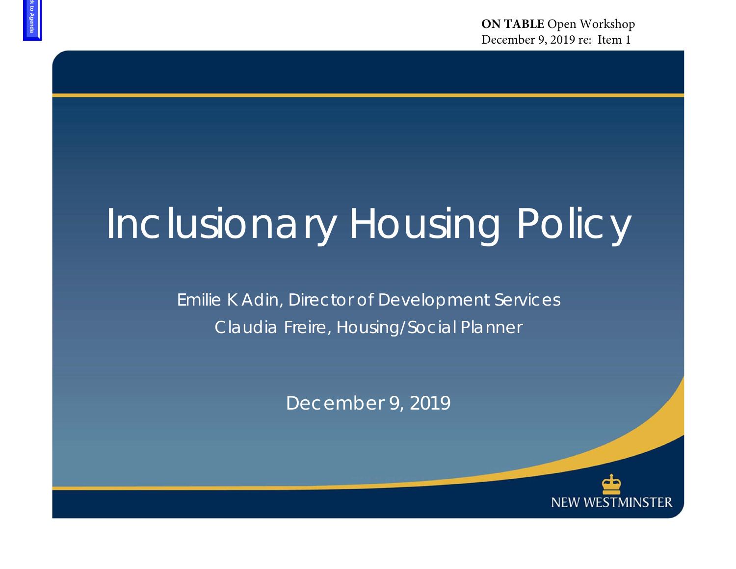**ON TABLE** Open WorkshopDecember 9, 2019 re: Item 1

## Inclusionary Housing Policy

Emilie K Adin, Director of Development Services Claudia Freire, Housing/Social Planner

December 9, 2019

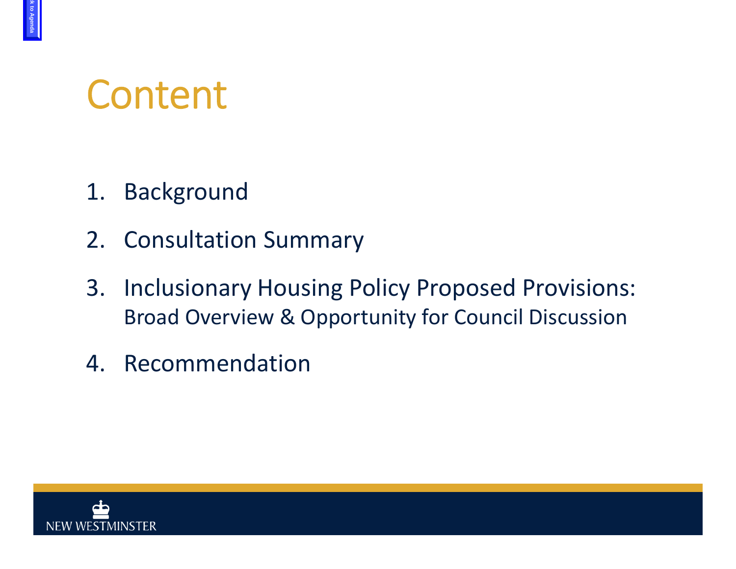### Content

- 1. Background
- 2. Consultation Summary
- 3. Inclusionary Housing Policy Proposed Provisions: Broad Overview & Opportunity for Council Discussion
- 4. Recommendation

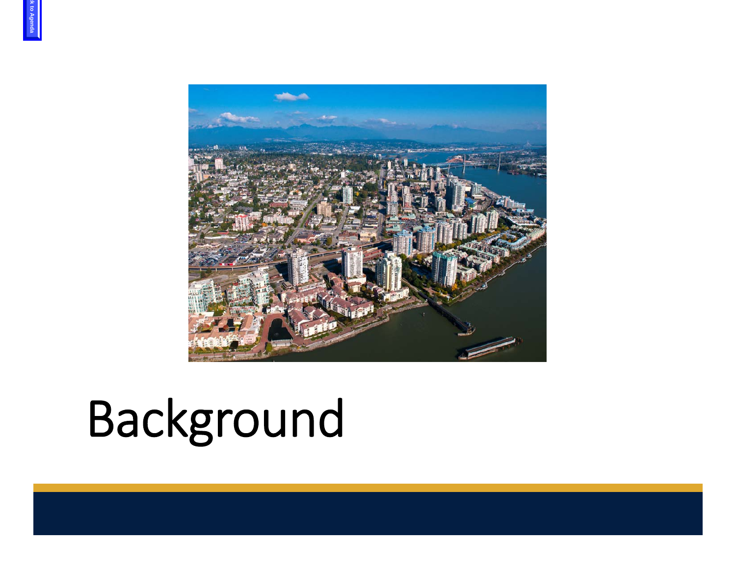

# Background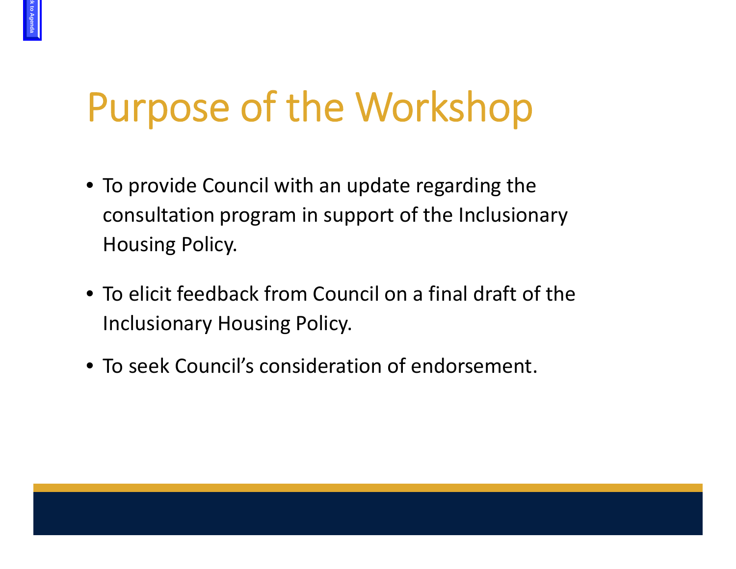## Purpose of the Workshop

- To provide Council with an update regarding the consultation program in support of the Inclusionary Housing Policy.
- To elicit feedback from Council on <sup>a</sup> final draft of the Inclusionary Housing Policy.
- To seek Council's consideration of endorsement.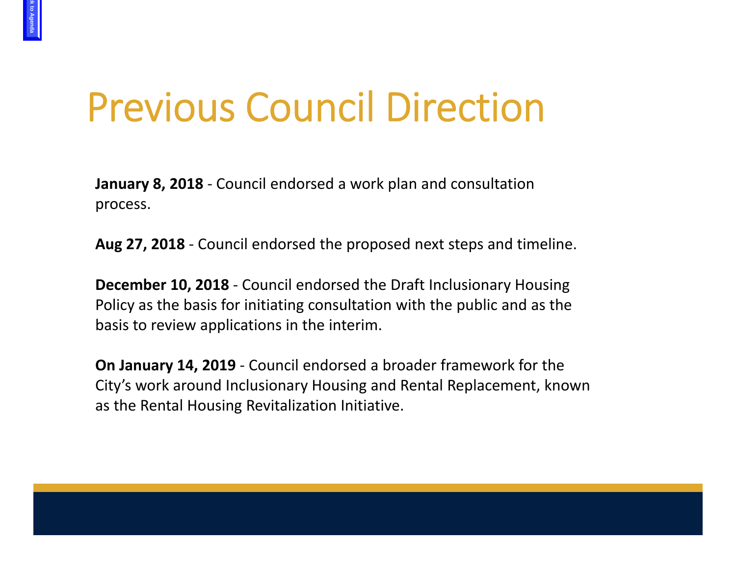### Previous Council Direction

**be Agenda** 

**January 8, 2018** ‐ Council endorsed <sup>a</sup> work plan and consultation process.

**Aug 27, 2018** ‐ Council endorsed the proposed next steps and timeline.

**December 10, 2018** ‐ Council endorsed the Draft Inclusionary Housing Policy as the basis for initiating consultation with the public and as the basis to review applications in the interim.

**On January 14, 2019** ‐ Council endorsed <sup>a</sup> broader framework for the City's work around Inclusionary Housing and Rental Replacement, known as the Rental Housing Revitalization Initiative.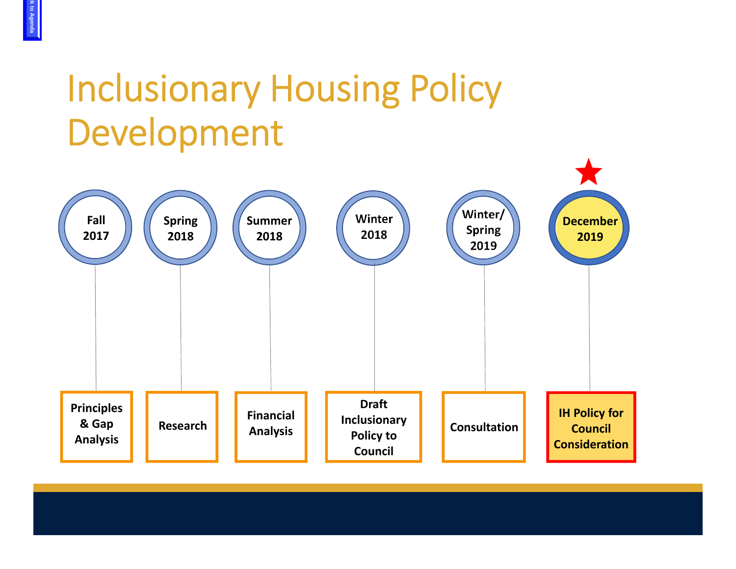#### Inclusionary Housing Policy Development

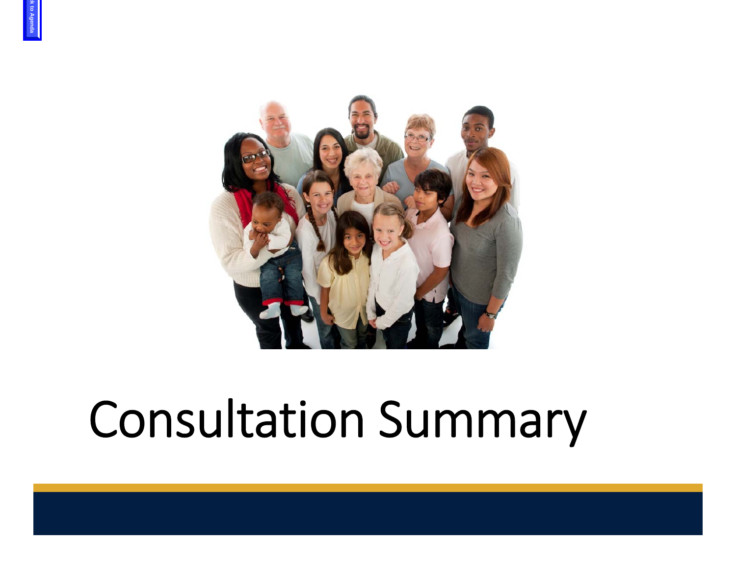

## Consultation Summary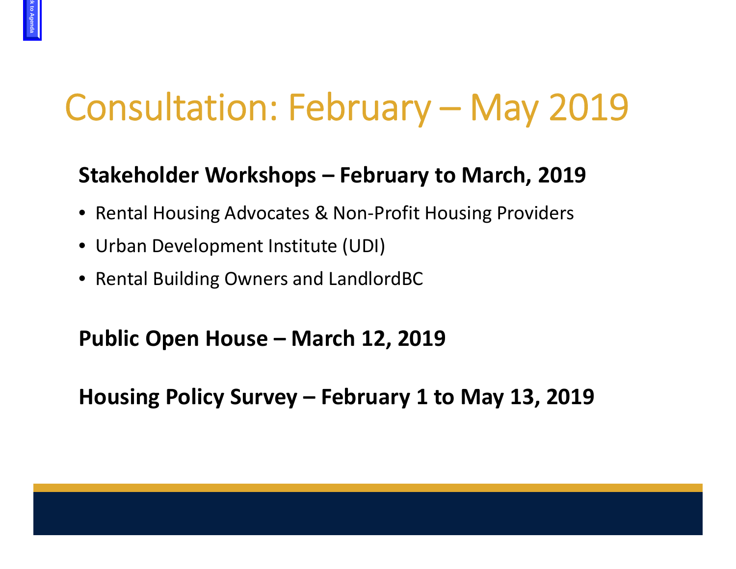#### Consultation: February – May 2019

#### **Stakeholder Workshops – February to March, 2019**

- Rental Housing Advocates & Non‐Profit Housing Providers
- Urban Development Institute (UDI)
- Rental Building Owners and LandlordBC

#### **Public Open House – March 12, 2019**

**Housing Policy Survey – February 1 to May 13, 2019**



**be Agenda**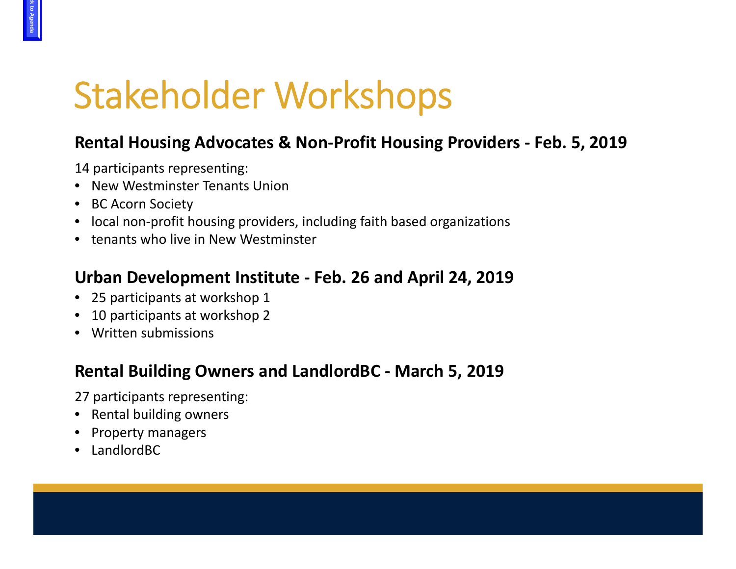### Stakeholder Workshops

#### **Rental Housing Advocates & Non‐Profit Housing Providers ‐ Feb. 5, 2019**

14 participants representing:

- New Westminster Tenants Union
- BC Acorn Society
- local non‐profit housing providers, including faith based organizations
- tenants who live in New Westminster

#### **Urban Development Institute ‐ Feb. 26 and April 24, 2019**

- 25 participants at workshop 1
- •10 participants at workshop 2
- Written submissions

#### **Rental Building Owners and LandlordBC ‐ March 5, 2019**

27 participants representing:

- Rental building owners
- Property managers
- •LandlordBC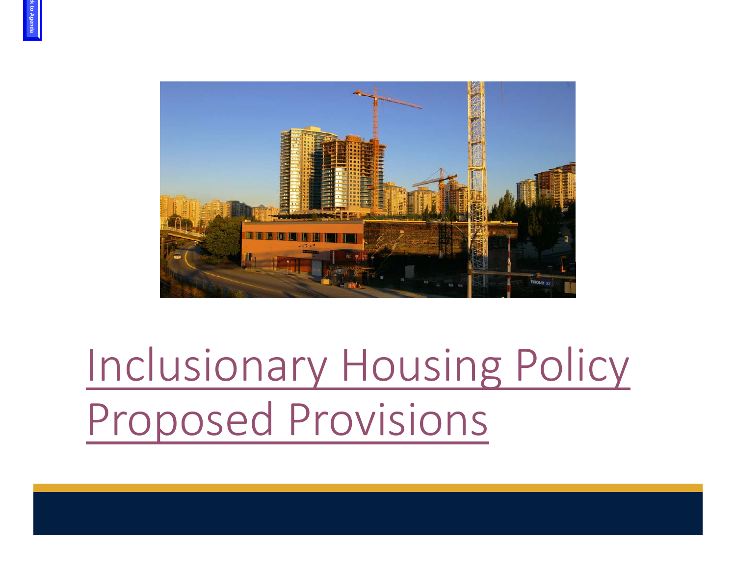

## Inclusionary Housing Policy Proposed Provisions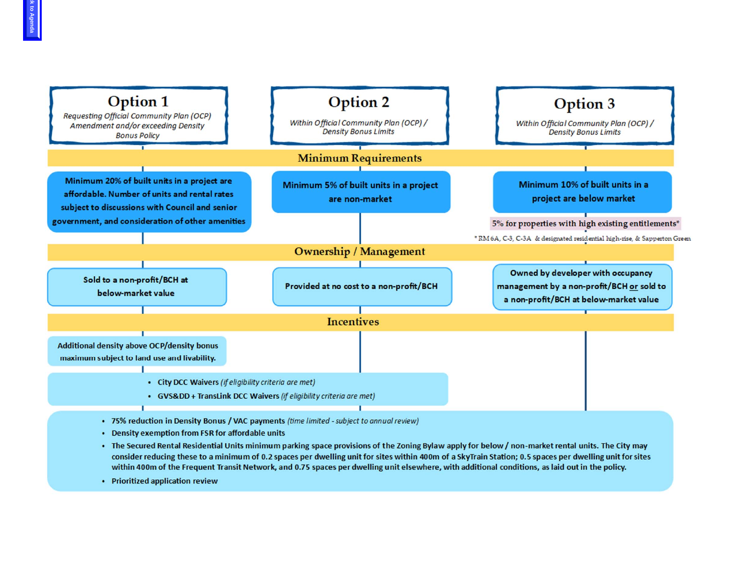

- Density exemption from FSR for affordable units
- The Secured Rental Residential Units minimum parking space provisions of the Zoning Bylaw apply for below / non-market rental units. The City may consider reducing these to a minimum of 0.2 spaces per dwelling unit for sites within 400m of a SkyTrain Station; 0.5 spaces per dwelling unit for sites within 400m of the Frequent Transit Network, and 0.75 spaces per dwelling unit elsewhere, with additional conditions, as laid out in the policy.
- Prioritized application review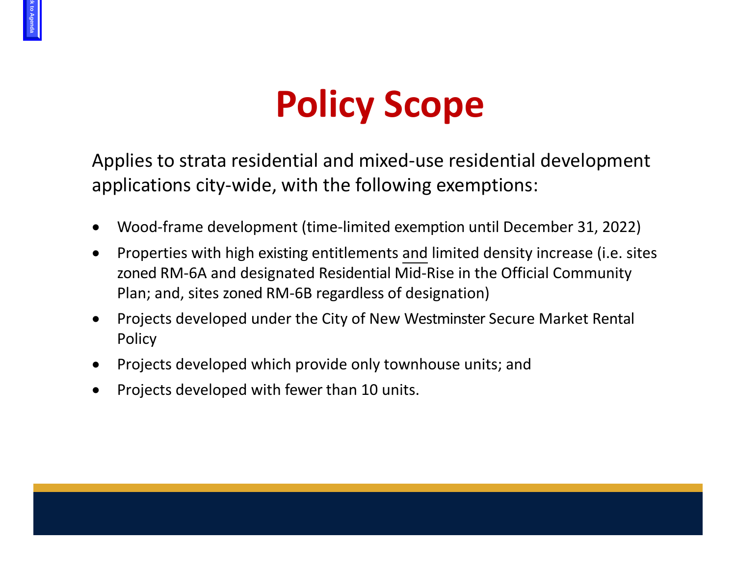#### **Policy Scope**

Applies to strata residential and mixed‐use residential development applications city‐wide, with the following exemptions:

- •Wood‐frame development (time‐limited exemption until December 31, 2022)
- $\bullet$ • Properties with high existing entitlements and limited density increase (i.e. sites zoned RM‐6A and designated Residential Mid‐Rise in the Official Community Plan; and, sites zoned RM‐6B regardless of designation)
- $\bullet$  Projects developed under the City of New Westminster Secure Market Rental Policy
- •**•** Projects developed which provide only townhouse units; and
- •• Projects developed with fewer than 10 units.

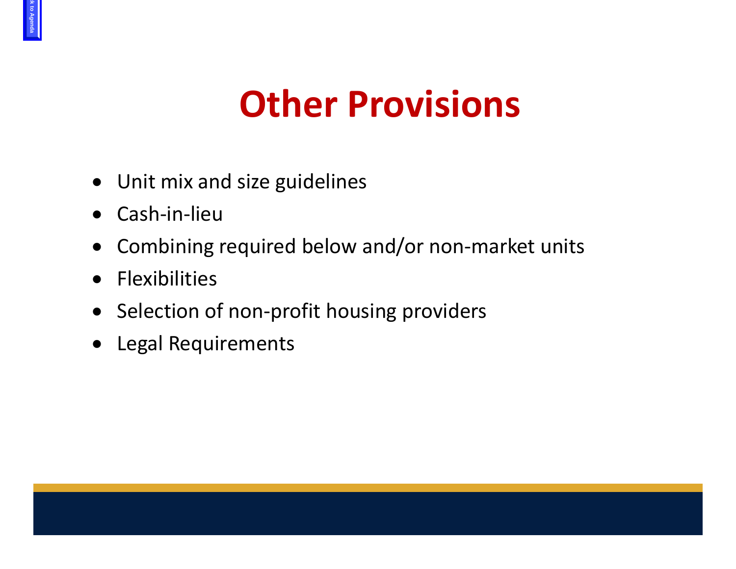#### **Other Provisions**

- Unit mix and size guidelines
- $\bullet$ Cash‐in‐lieu
- $\bullet$ Combining required below and/or non‐market units
- $\bullet$ Flexibilities
- Selection of non-profit housing providers
- Legal Requirements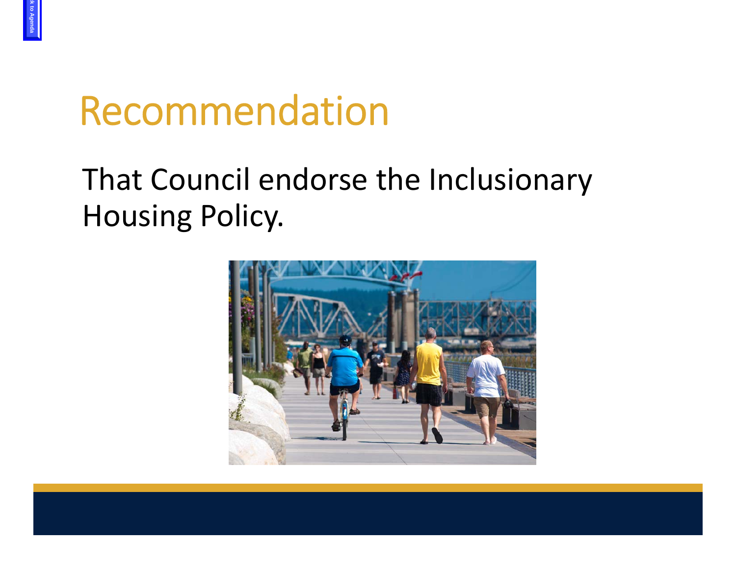### Recommendation

#### That Council endorse the Inclusionary Housing Policy.